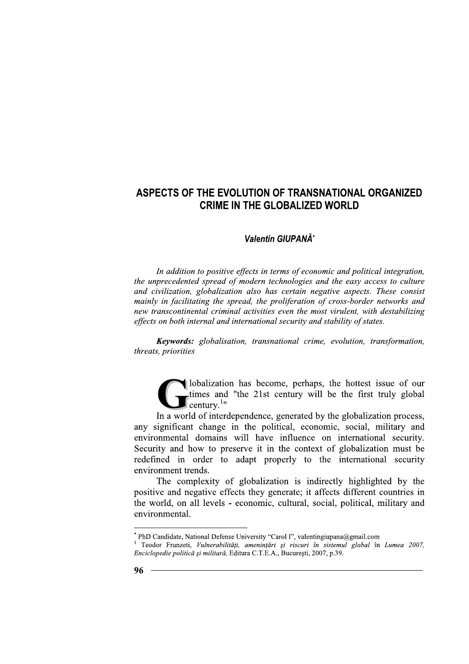## Valentin GIUPANĂ\*

In addition to positive effects in terms of economic and political integration, the unprecedented spread of modern technologies and the easy access to culture and civilization, globalization also has certain negative aspects. These consist mainly in facilitating the spread, the proliferation of cross-border networks and new transcontinental criminal activities even the most virulent, with destabilizing effects on both internal and international security and stability of states.

**Keywords:** globalisation, transnational crime, evolution, transformation, threats, priorities

Ilobalization has become, perhaps, the hottest issue of our times and "the 21st century will be the first truly global century. $1$ "

In a world of interdependence, generated by the globalization process, any significant change in the political, economic, social, military and environmental domains will have influence on international security. Security and how to preserve it in the context of globalization must be redefined in order to adapt properly to the international security environment trends.

The complexity of globalization is indirectly highlighted by the positive and negative effects they generate; it affects different countries in the world, on all levels - economic, cultural, social, political, military and environmental.

PhD Candidate, National Defense University "Carol I", valentingiupana@gmail.com

Teodor Frunzeti, Vulnerabilități, amenințări și riscuri în sistemul global în Lumea 2007, Enciclopedie politică și militară, Editura C.T.E.A., București, 2007, p.39.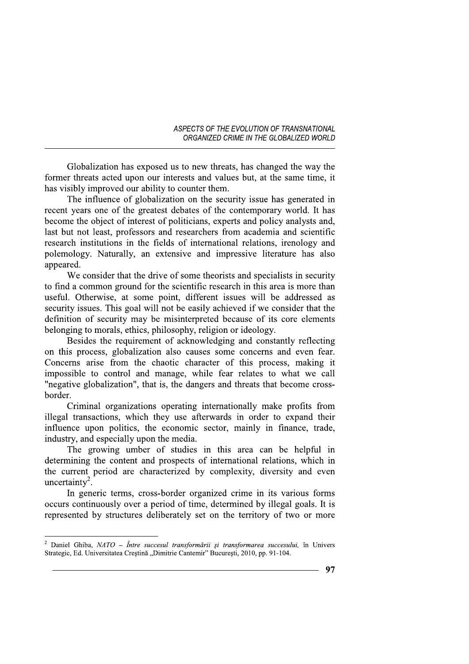Globalization has exposed us to new threats, has changed the way the former threats acted upon our interests and values but, at the same time, it has visibly improved our ability to counter them.

The influence of globalization on the security issue has generated in recent years one of the greatest debates of the contemporary world. It has become the object of interest of politicians, experts and policy analysts and, last but not least, professors and researchers from academia and scientific research institutions in the fields of international relations, irenology and polemology. Naturally, an extensive and impressive literature has also appeared.

We consider that the drive of some theorists and specialists in security to find a common ground for the scientific research in this area is more than useful. Otherwise, at some point, different issues will be addressed as security issues. This goal will not be easily achieved if we consider that the definition of security may be misinterpreted because of its core elements belonging to morals, ethics, philosophy, religion or ideology.

Besides the requirement of acknowledging and constantly reflecting on this process, globalization also causes some concerns and even fear. Concerns arise from the chaotic character of this process, making it impossible to control and manage, while fear relates to what we call "negative globalization", that is, the dangers and threats that become crossborder.

Criminal organizations operating internationally make profits from illegal transactions, which they use afterwards in order to expand their influence upon politics, the economic sector, mainly in finance, trade, industry, and especially upon the media.

The growing umber of studies in this area can be helpful in determining the content and prospects of international relations, which in the current period are characterized by complexity, diversity and even uncertainty<sup>2</sup>.

In generic terms, cross-border organized crime in its various forms occurs continuously over a period of time, determined by illegal goals. It is represented by structures deliberately set on the territory of two or more

<sup>&</sup>lt;sup>2</sup> Daniel Ghiba, NATO - Între succesul transformării și transformarea succesului, în Univers Strategic, Ed. Universitatea Crestină "Dimitrie Cantemir" Bucuresti, 2010, pp. 91-104.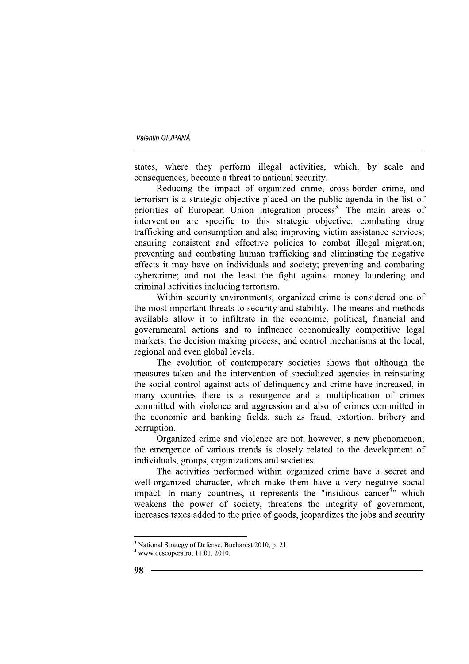states, where they perform illegal activities, which, by scale and consequences, become a threat to national security.

Reducing the impact of organized crime, cross-border crime, and terrorism is a strategic objective placed on the public agenda in the list of priorities of European Union integration process<sup>3</sup>. The main areas of intervention are specific to this strategic objective: combating drug trafficking and consumption and also improving victim assistance services; ensuring consistent and effective policies to combat illegal migration; preventing and combating human trafficking and eliminating the negative effects it may have on individuals and society; preventing and combating cybercrime; and not the least the fight against money laundering and criminal activities including terrorism.

Within security environments, organized crime is considered one of the most important threats to security and stability. The means and methods available allow it to infiltrate in the economic, political, financial and governmental actions and to influence economically competitive legal markets, the decision making process, and control mechanisms at the local, regional and even global levels.

The evolution of contemporary societies shows that although the measures taken and the intervention of specialized agencies in reinstating the social control against acts of delinguency and crime have increased, in many countries there is a resurgence and a multiplication of crimes committed with violence and aggression and also of crimes committed in the economic and banking fields, such as fraud, extortion, bribery and corruption.

Organized crime and violence are not, however, a new phenomenon; the emergence of various trends is closely related to the development of individuals, groups, organizations and societies.

The activities performed within organized crime have a secret and well-organized character, which make them have a very negative social impact. In many countries, it represents the "insidious cancer<sup>4</sup>" which weakens the power of society, threatens the integrity of government, increases taxes added to the price of goods, jeopardizes the jobs and security

<sup>&</sup>lt;sup>3</sup> National Strategy of Defense, Bucharest 2010, p. 21

 $4$  www.descopera.ro, 11.01. 2010.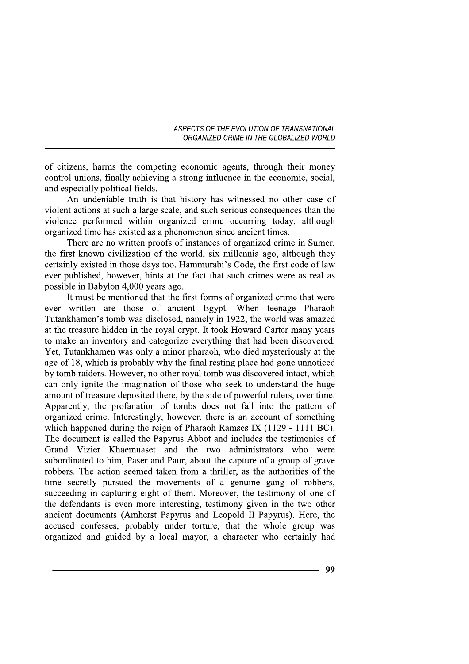of citizens, harms the competing economic agents, through their money control unions, finally achieving a strong influence in the economic, social, and especially political fields.

An undeniable truth is that history has witnessed no other case of violent actions at such a large scale, and such serious consequences than the violence performed within organized crime occurring today, although organized time has existed as a phenomenon since ancient times.

There are no written proofs of instances of organized crime in Sumer, the first known civilization of the world, six millennia ago, although they certainly existed in those days too. Hammurabi's Code, the first code of law ever published, however, hints at the fact that such crimes were as real as possible in Babylon 4,000 years ago.

It must be mentioned that the first forms of organized crime that were ever written are those of ancient Egypt. When teenage Pharaoh Tutankhamen's tomb was disclosed, namely in 1922, the world was amazed at the treasure hidden in the royal crypt. It took Howard Carter many years to make an inventory and categorize everything that had been discovered. Yet, Tutankhamen was only a minor pharaoh, who died mysteriously at the age of 18, which is probably why the final resting place had gone unnoticed by tomb raiders. However, no other royal tomb was discovered intact, which can only ignite the imagination of those who seek to understand the huge amount of treasure deposited there, by the side of powerful rulers, over time. Apparently, the profanation of tombs does not fall into the pattern of organized crime. Interestingly, however, there is an account of something which happened during the reign of Pharaoh Ramses IX (1129 - 1111 BC). The document is called the Papyrus Abbot and includes the testimonies of Grand Vizier Khaemuaset and the two administrators who were subordinated to him, Paser and Paur, about the capture of a group of grave robbers. The action seemed taken from a thriller, as the authorities of the time secretly pursued the movements of a genuine gang of robbers, succeeding in capturing eight of them. Moreover, the testimony of one of the defendants is even more interesting, testimony given in the two other ancient documents (Amherst Papyrus and Leopold II Papyrus). Here, the accused confesses, probably under torture, that the whole group was organized and guided by a local mayor, a character who certainly had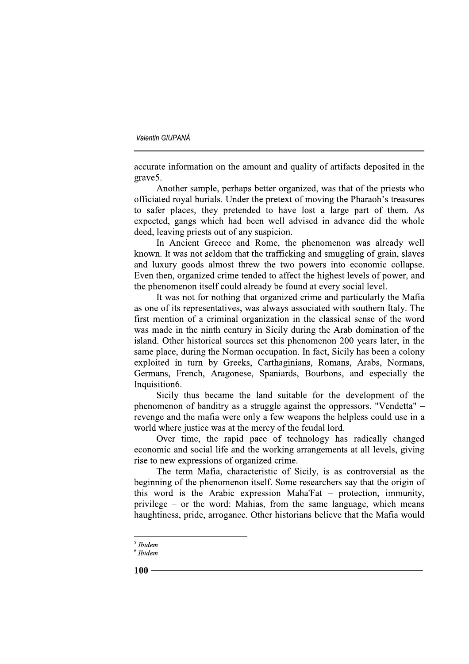accurate information on the amount and quality of artifacts deposited in the grave<sub>5</sub>.

Another sample, perhaps better organized, was that of the priests who officiated royal burials. Under the pretext of moving the Pharaoh's treasures to safer places, they pretended to have lost a large part of them. As expected, gangs which had been well advised in advance did the whole deed, leaving priests out of any suspicion.

In Ancient Greece and Rome, the phenomenon was already well known. It was not seldom that the trafficking and smuggling of grain, slaves and luxury goods almost threw the two powers into economic collapse. Even then, organized crime tended to affect the highest levels of power, and the phenomenon itself could already be found at every social level.

It was not for nothing that organized crime and particularly the Mafia as one of its representatives, was always associated with southern Italy. The first mention of a criminal organization in the classical sense of the word was made in the ninth century in Sicily during the Arab domination of the island. Other historical sources set this phenomenon 200 years later, in the same place, during the Norman occupation. In fact, Sicily has been a colony exploited in turn by Greeks, Carthaginians, Romans, Arabs, Normans, Germans, French, Aragonese, Spaniards, Bourbons, and especially the Inquisition6.

Sicily thus became the land suitable for the development of the phenomenon of banditry as a struggle against the oppressors. "Vendetta" – revenge and the mafia were only a few weapons the helpless could use in a world where justice was at the mercy of the feudal lord.

Over time, the rapid pace of technology has radically changed economic and social life and the working arrangements at all levels, giving rise to new expressions of organized crime.

The term Mafia, characteristic of Sicily, is as controversial as the beginning of the phenomenon itself. Some researchers say that the origin of this word is the Arabic expression Maha'Fat  $-$  protection, immunity, privilege – or the word: Mahias, from the same language, which means haughtiness, pride, arrogance. Other historians believe that the Mafia would

 $<sup>5</sup> I bidem$ </sup>

 $6$  Ibidem

 $100 -$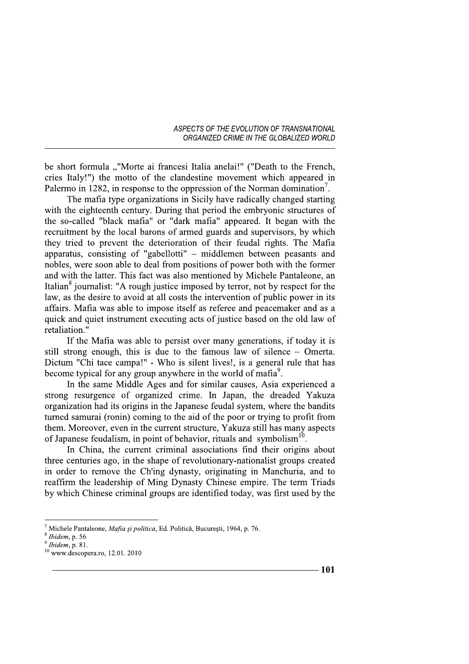be short formula ""Morte ai francesi Italia anelai!" ("Death to the French, cries Italy!") the motto of the clandestine movement which appeared in Palermo in 1282, in response to the oppression of the Norman domination<sup>'</sup>.

The mafia type organizations in Sicily have radically changed starting with the eighteenth century. During that period the embryonic structures of the so-called "black mafia" or "dark mafia" appeared. It began with the recruitment by the local barons of armed guards and supervisors, by which they tried to prevent the deterioration of their feudal rights. The Mafia apparatus, consisting of "gabellotti" - middlemen between peasants and nobles, were soon able to deal from positions of power both with the former and with the latter. This fact was also mentioned by Michele Pantaleone, an Italian<sup>8</sup> journalist: "A rough justice imposed by terror, not by respect for the law, as the desire to avoid at all costs the intervention of public power in its affairs. Mafia was able to impose itself as referee and peacemaker and as a quick and quiet instrument executing acts of justice based on the old law of retaliation."

If the Mafia was able to persist over many generations, if today it is still strong enough, this is due to the famous law of silence – Omerta. Dictum "Chi tace campa!" - Who is silent lives!, is a general rule that has become typical for any group anywhere in the world of mafia<sup>9</sup>.

In the same Middle Ages and for similar causes, Asia experienced a strong resurgence of organized crime. In Japan, the dreaded Yakuza organization had its origins in the Japanese feudal system, where the bandits turned samurai (ronin) coming to the aid of the poor or trying to profit from them. Moreover, even in the current structure, Yakuza still has many aspects of Japanese feudalism, in point of behavior, rituals and symbolism<sup>10</sup>.

In China, the current criminal associations find their origins about three centuries ago, in the shape of revolutionary-nationalist groups created in order to remove the Ch'ing dynasty, originating in Manchuria, and to reaffirm the leadership of Ming Dynasty Chinese empire. The term Triads by which Chinese criminal groups are identified today, was first used by the

Michele Pantaleone, Mafia și politica, Ed. Politică, București, 1964, p. 76.

 $8$  Ibidem, p. 56

Ibidem, p. 81.

 $10$  www.descopera.ro, 12.01. 2010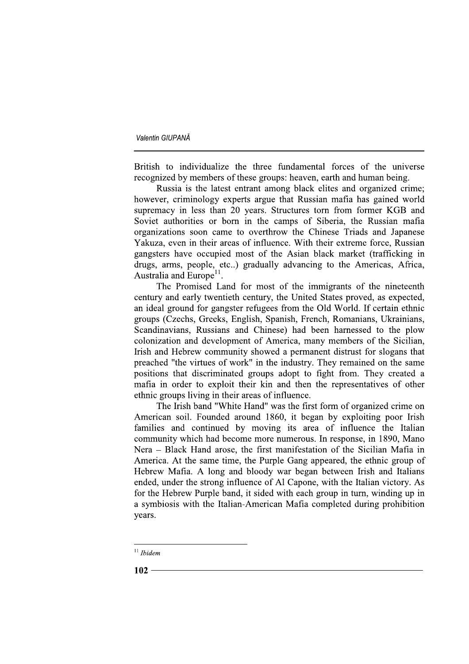British to individualize the three fundamental forces of the universe recognized by members of these groups: heaven, earth and human being.

Russia is the latest entrant among black elites and organized crime; however, criminology experts argue that Russian mafia has gained world supremacy in less than 20 years. Structures torn from former KGB and Soviet authorities or born in the camps of Siberia, the Russian mafia organizations soon came to overthrow the Chinese Triads and Japanese Yakuza, even in their areas of influence. With their extreme force, Russian gangsters have occupied most of the Asian black market (trafficking in drugs, arms, people, etc..) gradually advancing to the Americas, Africa, Australia and Europe<sup>11</sup>.

The Promised Land for most of the immigrants of the nineteenth century and early twentieth century, the United States proved, as expected, an ideal ground for gangster refugees from the Old World. If certain ethnic groups (Czechs, Greeks, English, Spanish, French, Romanians, Ukrainians, Scandinavians, Russians and Chinese) had been harnessed to the plow colonization and development of America, many members of the Sicilian, Irish and Hebrew community showed a permanent distrust for slogans that preached "the virtues of work" in the industry. They remained on the same positions that discriminated groups adopt to fight from. They created a mafia in order to exploit their kin and then the representatives of other ethnic groups living in their areas of influence.

The Irish band "White Hand" was the first form of organized crime on American soil. Founded around 1860, it began by exploiting poor Irish families and continued by moving its area of influence the Italian community which had become more numerous. In response, in 1890, Mano Nera – Black Hand arose, the first manifestation of the Sicilian Mafia in America. At the same time, the Purple Gang appeared, the ethnic group of Hebrew Mafia. A long and bloody war began between Irish and Italians ended, under the strong influence of Al Capone, with the Italian victory. As for the Hebrew Purple band, it sided with each group in turn, winding up in a symbiosis with the Italian-American Mafia completed during prohibition years.

 $11$  Ibidem

 $102 -$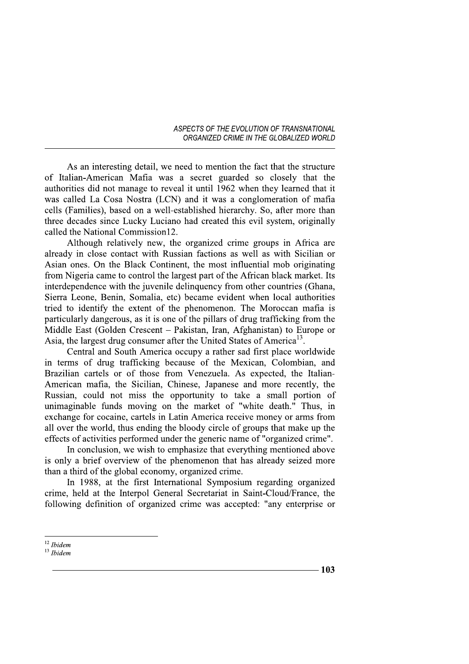As an interesting detail, we need to mention the fact that the structure of Italian-American Mafia was a secret guarded so closely that the authorities did not manage to reveal it until 1962 when they learned that it was called La Cosa Nostra (LCN) and it was a conglomeration of mafia cells (Families), based on a well-established hierarchy. So, after more than three decades since Lucky Luciano had created this evil system, originally called the National Commission12.

Although relatively new, the organized crime groups in Africa are already in close contact with Russian factions as well as with Sicilian or Asian ones. On the Black Continent, the most influential mob originating from Nigeria came to control the largest part of the African black market. Its interdependence with the juvenile delinquency from other countries (Ghana, Sierra Leone, Benin, Somalia, etc) became evident when local authorities tried to identify the extent of the phenomenon. The Moroccan mafia is particularly dangerous, as it is one of the pillars of drug trafficking from the Middle East (Golden Crescent – Pakistan, Iran, Afghanistan) to Europe or Asia, the largest drug consumer after the United States of America<sup>13</sup>.

Central and South America occupy a rather sad first place worldwide in terms of drug trafficking because of the Mexican, Colombian, and Brazilian cartels or of those from Venezuela. As expected, the Italian-American mafia, the Sicilian, Chinese, Japanese and more recently, the Russian, could not miss the opportunity to take a small portion of unimaginable funds moving on the market of "white death." Thus, in exchange for cocaine, cartels in Latin America receive money or arms from all over the world, thus ending the bloody circle of groups that make up the effects of activities performed under the generic name of "organized crime".

In conclusion, we wish to emphasize that everything mentioned above is only a brief overview of the phenomenon that has already seized more than a third of the global economy, organized crime.

In 1988, at the first International Symposium regarding organized crime, held at the Interpol General Secretariat in Saint-Cloud/France, the following definition of organized crime was accepted: "any enterprise or

 $12$  Ibidem

 $13$  *Ibidem*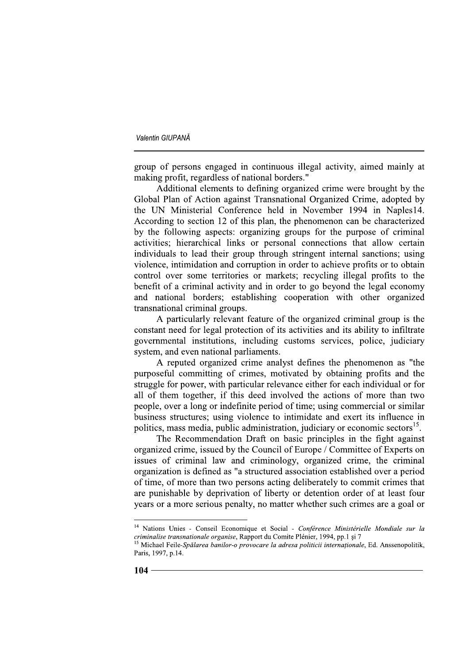group of persons engaged in continuous illegal activity, aimed mainly at making profit, regardless of national borders."

Additional elements to defining organized crime were brought by the Global Plan of Action against Transnational Organized Crime, adopted by the UN Ministerial Conference held in November 1994 in Naples14. According to section 12 of this plan, the phenomenon can be characterized by the following aspects: organizing groups for the purpose of criminal activities; hierarchical links or personal connections that allow certain individuals to lead their group through stringent internal sanctions; using violence, intimidation and corruption in order to achieve profits or to obtain control over some territories or markets; recycling illegal profits to the benefit of a criminal activity and in order to go beyond the legal economy and national borders; establishing cooperation with other organized transnational criminal groups.

A particularly relevant feature of the organized criminal group is the constant need for legal protection of its activities and its ability to infiltrate governmental institutions, including customs services, police, judiciary system, and even national parliaments.

A reputed organized crime analyst defines the phenomenon as "the purposeful committing of crimes, motivated by obtaining profits and the struggle for power, with particular relevance either for each individual or for all of them together, if this deed involved the actions of more than two people, over a long or indefinite period of time; using commercial or similar business structures; using violence to intimidate and exert its influence in politics, mass media, public administration, judiciary or economic sectors<sup>15</sup>.

The Recommendation Draft on basic principles in the fight against organized crime, issued by the Council of Europe / Committee of Experts on issues of criminal law and criminology, organized crime, the criminal organization is defined as "a structured association established over a period of time, of more than two persons acting deliberately to commit crimes that are punishable by deprivation of liberty or detention order of at least four years or a more serious penalty, no matter whether such crimes are a goal or

<sup>&</sup>lt;sup>14</sup> Nations Unies - Conseil Economique et Social - Conférence Ministérielle Mondiale sur la criminalise transnationale organise, Rapport du Comite Plénier, 1994, pp.1 și 7<sup>15</sup> Michael Ecile, Sur <sup>1</sup>

Michael Feile-Spălarea banilor-o provocare la adresa politicii internaționale, Ed. Anssenopolitik, Paris, 1997, p.14.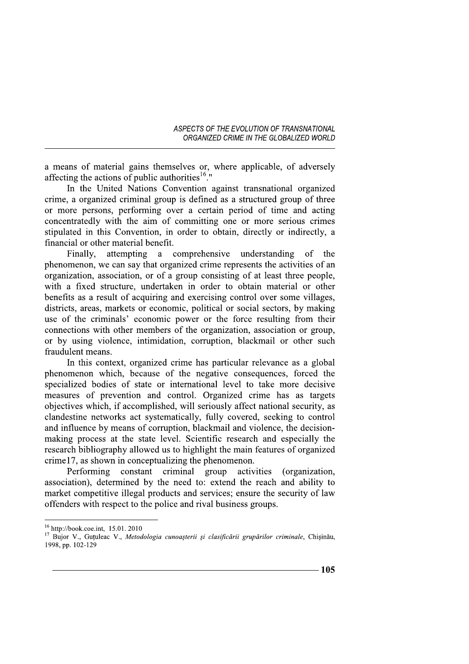a means of material gains themselves or, where applicable, of adversely affecting the actions of public authorities<sup>16</sup>."

In the United Nations Convention against transnational organized crime, a organized criminal group is defined as a structured group of three or more persons, performing over a certain period of time and acting concentratedly with the aim of committing one or more serious crimes stipulated in this Convention, in order to obtain, directly or indirectly, a financial or other material benefit.

Finally, attempting a comprehensive understanding of the phenomenon, we can say that organized crime represents the activities of an organization, association, or of a group consisting of at least three people, with a fixed structure, undertaken in order to obtain material or other benefits as a result of acquiring and exercising control over some villages, districts, areas, markets or economic, political or social sectors, by making use of the criminals' economic power or the force resulting from their connections with other members of the organization, association or group, or by using violence, intimidation, corruption, blackmail or other such fraudulent means.

In this context, organized crime has particular relevance as a global phenomenon which, because of the negative consequences, forced the specialized bodies of state or international level to take more decisive measures of prevention and control. Organized crime has as targets objectives which, if accomplished, will seriously affect national security, as clandestine networks act systematically, fully covered, seeking to control and influence by means of corruption, blackmail and violence, the decisionmaking process at the state level. Scientific research and especially the research bibliography allowed us to highlight the main features of organized crime 17, as shown in conceptualizing the phenomenon.

group Performing constant criminal activities (organization. association), determined by the need to: extend the reach and ability to market competitive illegal products and services; ensure the security of law offenders with respect to the police and rival business groups.

 $16$  http://book.coe.int, 15.01.2010

<sup>&</sup>lt;sup>17</sup> Bujor V., Guțuleac V., Metodologia cunoașterii și clasificării grupărilor criminale, Chișinău, 1998, pp. 102-129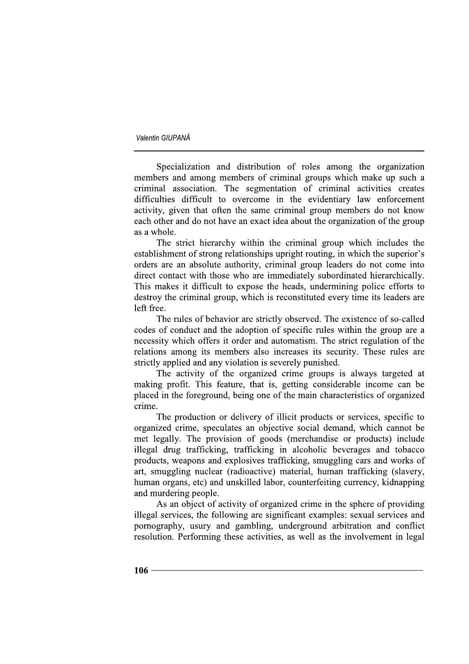Specialization and distribution of roles among the organization members and among members of criminal groups which make up such a criminal association. The segmentation of criminal activities creates difficulties difficult to overcome in the evidentiary law enforcement activity, given that often the same criminal group members do not know each other and do not have an exact idea about the organization of the group as a whole.

The strict hierarchy within the criminal group which includes the establishment of strong relationships upright routing, in which the superior's orders are an absolute authority, criminal group leaders do not come into direct contact with those who are immediately subordinated hierarchically. This makes it difficult to expose the heads, undermining police efforts to destroy the criminal group, which is reconstituted every time its leaders are left free.

The rules of behavior are strictly observed. The existence of so-called codes of conduct and the adoption of specific rules within the group are a necessity which offers it order and automatism. The strict regulation of the relations among its members also increases its security. These rules are strictly applied and any violation is severely punished.

The activity of the organized crime groups is always targeted at making profit. This feature, that is, getting considerable income can be placed in the foreground, being one of the main characteristics of organized crime.

The production or delivery of illicit products or services, specific to organized crime, speculates an objective social demand, which cannot be met legally. The provision of goods (merchandise or products) include illegal drug trafficking, trafficking in alcoholic beverages and tobacco products, weapons and explosives trafficking, smuggling cars and works of art, smuggling nuclear (radioactive) material, human trafficking (slavery, human organs, etc) and unskilled labor, counterfeiting currency, kidnapping and murdering people.

As an object of activity of organized crime in the sphere of providing illegal services, the following are significant examples: sexual services and pornography, usury and gambling, underground arbitration and conflict resolution. Performing these activities, as well as the involvement in legal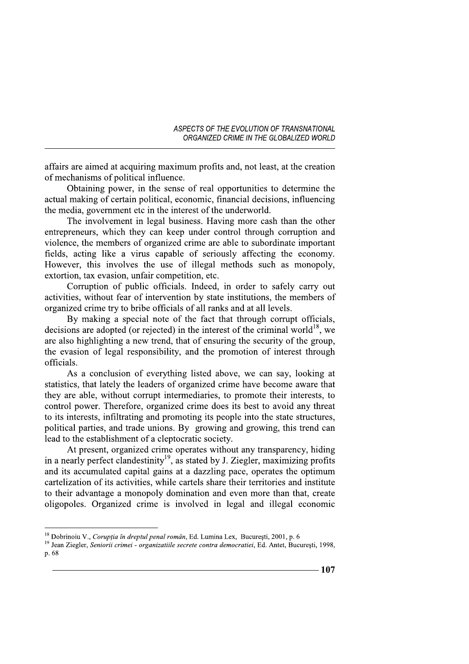affairs are aimed at acquiring maximum profits and, not least, at the creation of mechanisms of political influence.

Obtaining power, in the sense of real opportunities to determine the actual making of certain political, economic, financial decisions, influencing the media, government etc in the interest of the underworld.

The involvement in legal business. Having more cash than the other entrepreneurs, which they can keep under control through corruption and violence, the members of organized crime are able to subordinate important fields, acting like a virus capable of seriously affecting the economy. However, this involves the use of illegal methods such as monopoly. extortion, tax evasion, unfair competition, etc.

Corruption of public officials. Indeed, in order to safely carry out activities, without fear of intervention by state institutions, the members of organized crime try to bribe officials of all ranks and at all levels.

By making a special note of the fact that through corrupt officials, decisions are adopted (or rejected) in the interest of the criminal world<sup>18</sup>, we are also highlighting a new trend, that of ensuring the security of the group, the evasion of legal responsibility, and the promotion of interest through officials.

As a conclusion of everything listed above, we can say, looking at statistics, that lately the leaders of organized crime have become aware that they are able, without corrupt intermediaries, to promote their interests, to control power. Therefore, organized crime does its best to avoid any threat to its interests, infiltrating and promoting its people into the state structures, political parties, and trade unions. By growing and growing, this trend can lead to the establishment of a cleptocratic society.

At present, organized crime operates without any transparency, hiding in a nearly perfect clandestinity<sup>19</sup>, as stated by J. Ziegler, maximizing profits and its accumulated capital gains at a dazzling pace, operates the optimum cartelization of its activities, while cartels share their territories and institute to their advantage a monopoly domination and even more than that, create oligopoles. Organized crime is involved in legal and illegal economic

<sup>&</sup>lt;sup>18</sup> Dobrinoiu V., Corupția în dreptul penal român, Ed. Lumina Lex, București, 2001, p. 6

<sup>&</sup>lt;sup>19</sup> Jean Ziegler, Seniorii crimei - organizatiile secrete contra democratiei, Ed. Antet, București, 1998, p. 68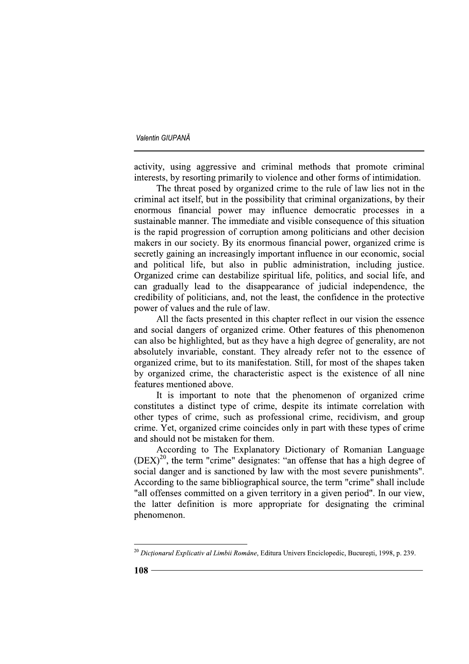activity, using aggressive and criminal methods that promote criminal interests, by resorting primarily to violence and other forms of intimidation.

The threat posed by organized crime to the rule of law lies not in the criminal act itself, but in the possibility that criminal organizations, by their enormous financial power may influence democratic processes in a sustainable manner. The immediate and visible consequence of this situation is the rapid progression of corruption among politicians and other decision makers in our society. By its enormous financial power, organized crime is secretly gaining an increasingly important influence in our economic, social and political life, but also in public administration, including justice. Organized crime can destabilize spiritual life, politics, and social life, and can gradually lead to the disappearance of judicial independence, the credibility of politicians, and, not the least, the confidence in the protective power of values and the rule of law.

All the facts presented in this chapter reflect in our vision the essence and social dangers of organized crime. Other features of this phenomenon can also be highlighted, but as they have a high degree of generality, are not absolutely invariable, constant. They already refer not to the essence of organized crime, but to its manifestation. Still, for most of the shapes taken by organized crime, the characteristic aspect is the existence of all nine features mentioned above.

It is important to note that the phenomenon of organized crime constitutes a distinct type of crime, despite its intimate correlation with other types of crime, such as professional crime, recidivism, and group crime. Yet, organized crime coincides only in part with these types of crime and should not be mistaken for them.

According to The Explanatory Dictionary of Romanian Language (DEX)<sup>20</sup>, the term "crime" designates: "an offense that has a high degree of social danger and is sanctioned by law with the most severe punishments". According to the same bibliographical source, the term "crime" shall include "all offenses committed on a given territory in a given period". In our view, the latter definition is more appropriate for designating the criminal phenomenon.

<sup>&</sup>lt;sup>20</sup> Dictionarul Explicativ al Limbii Române, Editura Univers Enciclopedic, Bucuresti, 1998, p. 239.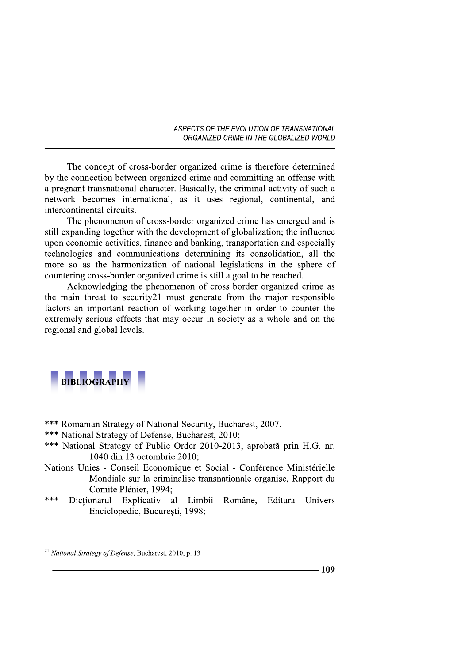The concept of cross-border organized crime is therefore determined by the connection between organized crime and committing an offense with a pregnant transnational character. Basically, the criminal activity of such a network becomes international, as it uses regional, continental, and intercontinental circuits.

The phenomenon of cross-border organized crime has emerged and is still expanding together with the development of globalization; the influence upon economic activities, finance and banking, transportation and especially technologies and communications determining its consolidation, all the more so as the harmonization of national legislations in the sphere of countering cross-border organized crime is still a goal to be reached.

Acknowledging the phenomenon of cross-border organized crime as the main threat to security21 must generate from the major responsible factors an important reaction of working together in order to counter the extremely serious effects that may occur in society as a whole and on the regional and global levels.



\*\*\* Romanian Strategy of National Security, Bucharest, 2007.

- \*\*\* National Strategy of Defense, Bucharest, 2010;
- \*\*\* National Strategy of Public Order 2010-2013, aprobată prin H.G. nr. 1040 din 13 octombrie 2010:
- Nations Unies Conseil Economique et Social Conférence Ministérielle Mondiale sur la criminalise transnationale organise, Rapport du Comite Plénier, 1994:
- \*\*\* Dictionarul Explicativ al Limbii Române. Editura Univers Enciclopedic, București, 1998;

<sup>&</sup>lt;sup>21</sup> National Strategy of Defense, Bucharest, 2010, p. 13